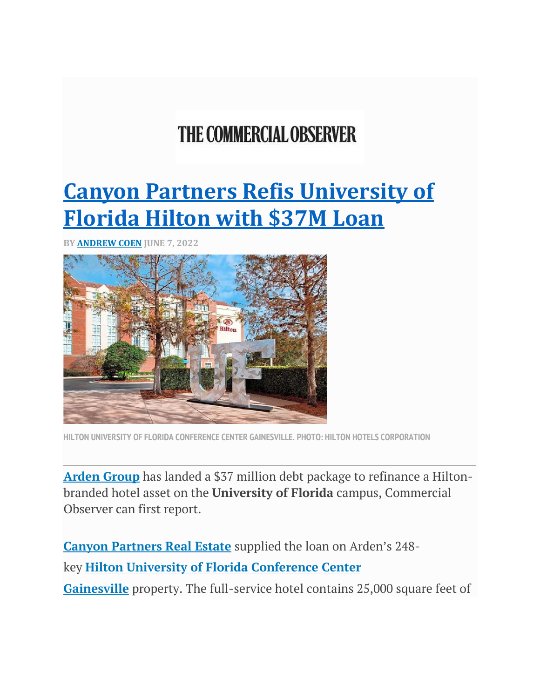## **THE COMMERCIAL OBSERVER**

## **[Canyon Partners Refis University of](https://commercialobserver.com/2022/06/canyon-partners-refis-university-of-florida-hilton-with-37m-loan/)  [Florida Hilton with \\$37M Loan](https://commercialobserver.com/2022/06/canyon-partners-refis-university-of-florida-hilton-with-37m-loan/)**

**BY [ANDREW COEN](https://commercialobserver.com/author/andrew-coen/) JUNE 7, 2022**



**HILTON UNIVERSITY OF FLORIDA CONFERENCE CENTER GAINESVILLE. PHOTO: HILTON HOTELS CORPORATION**

**[Arden Group](https://commercialobserver.com/tag/arden-group/)** has landed a \$37 million debt package to refinance a Hiltonbranded hotel asset on the **University of Florida** campus, Commercial Observer can first report.

**[Canyon Partners Real Estate](https://commercialobserver.com/tag/canyon-partners/)** supplied the loan on Arden's 248 key **[Hilton University of Florida Conference Center](https://hiltonuniversityoffloridaconferencecentergainesville.reservationstays.com/requests/m6d0WRoPWIRr1eD-40Zmkw/hotels/LlM3yAG6?expand_params=true)  [Gainesville](https://hiltonuniversityoffloridaconferencecentergainesville.reservationstays.com/requests/m6d0WRoPWIRr1eD-40Zmkw/hotels/LlM3yAG6?expand_params=true)** property. The full-service hotel contains 25,000 square feet of